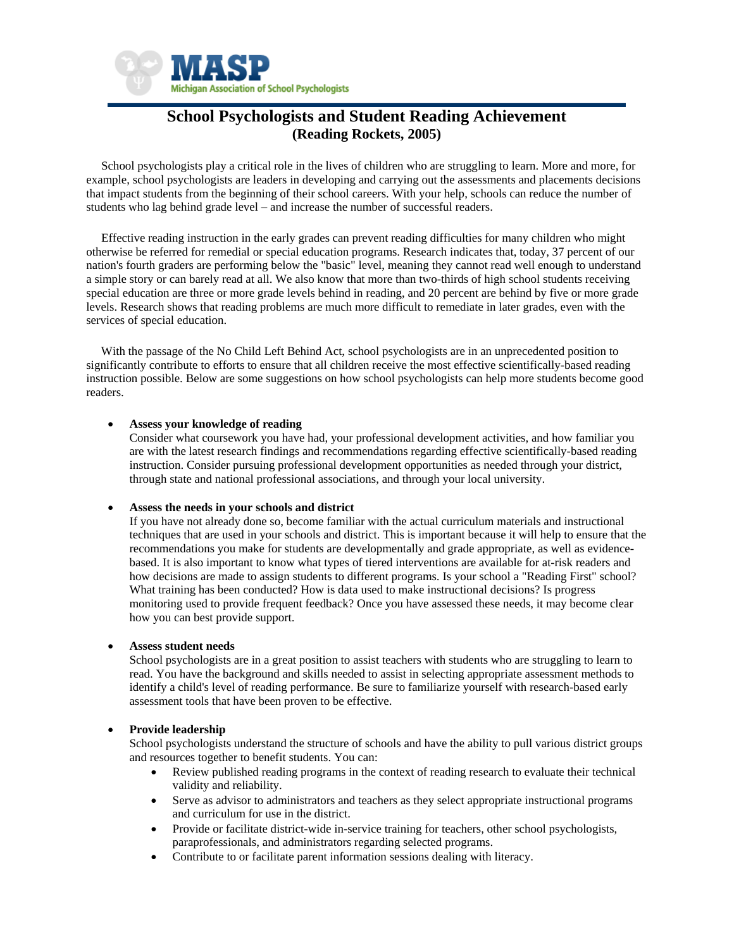

# **School Psychologists and Student Reading Achievement (Reading Rockets, 2005)**

 School psychologists play a critical role in the lives of children who are struggling to learn. More and more, for example, school psychologists are leaders in developing and carrying out the assessments and placements decisions that impact students from the beginning of their school careers. With your help, schools can reduce the number of students who lag behind grade level – and increase the number of successful readers.

 Effective reading instruction in the early grades can prevent reading difficulties for many children who might otherwise be referred for remedial or special education programs. Research indicates that, today, 37 percent of our nation's fourth graders are performing below the "basic" level, meaning they cannot read well enough to understand a simple story or can barely read at all. We also know that more than two-thirds of high school students receiving special education are three or more grade levels behind in reading, and 20 percent are behind by five or more grade levels. Research shows that reading problems are much more difficult to remediate in later grades, even with the services of special education.

With the passage of the No Child Left Behind Act, school psychologists are in an unprecedented position to significantly contribute to efforts to ensure that all children receive the most effective scientifically-based reading instruction possible. Below are some suggestions on how school psychologists can help more students become good readers.

## • **Assess your knowledge of reading**

Consider what coursework you have had, your professional development activities, and how familiar you are with the latest research findings and recommendations regarding effective scientifically-based reading instruction. Consider pursuing professional development opportunities as needed through your district, through state and national professional associations, and through your local university.

#### • **Assess the needs in your schools and district**

If you have not already done so, become familiar with the actual curriculum materials and instructional techniques that are used in your schools and district. This is important because it will help to ensure that the recommendations you make for students are developmentally and grade appropriate, as well as evidencebased. It is also important to know what types of tiered interventions are available for at-risk readers and how decisions are made to assign students to different programs. Is your school a "Reading First" school? What training has been conducted? How is data used to make instructional decisions? Is progress monitoring used to provide frequent feedback? Once you have assessed these needs, it may become clear how you can best provide support.

# • **Assess student needs**

School psychologists are in a great position to assist teachers with students who are struggling to learn to read. You have the background and skills needed to assist in selecting appropriate assessment methods to identify a child's level of reading performance. Be sure to familiarize yourself with research-based early assessment tools that have been proven to be effective.

# • **Provide leadership**

School psychologists understand the structure of schools and have the ability to pull various district groups and resources together to benefit students. You can:

- Review published reading programs in the context of reading research to evaluate their technical validity and reliability.
- Serve as advisor to administrators and teachers as they select appropriate instructional programs and curriculum for use in the district.
- Provide or facilitate district-wide in-service training for teachers, other school psychologists, paraprofessionals, and administrators regarding selected programs.
- Contribute to or facilitate parent information sessions dealing with literacy.